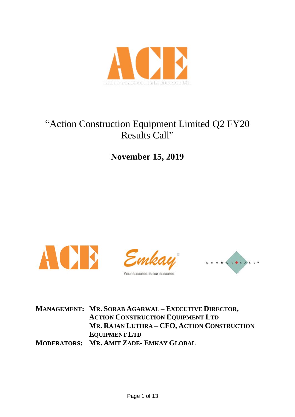

# "Action Construction Equipment Limited Q2 FY20 Results Call"

**November 15, 2019**



Your success is our success



**MANAGEMENT: MR. SORAB AGARWAL – EXECUTIVE DIRECTOR, ACTION CONSTRUCTION EQUIPMENT LTD MR. RAJAN LUTHRA – CFO, ACTION CONSTRUCTION EQUIPMENT LTD MODERATORS: MR. AMIT ZADE- EMKAY GLOBAL**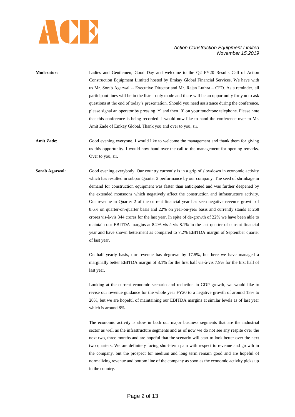

- **Moderator:** Ladies and Gentlemen, Good Day and welcome to the Q2 FY20 Results Call of Action Construction Equipment Limited hosted by Emkay Global Financial Services. We have with us Mr. Sorab Agarwal -- Executive Director and Mr. Rajan Luthra – CFO. As a reminder, all participant lines will be in the listen-only mode and there will be an opportunity for you to ask questions at the end of today"s presentation. Should you need assistance during the conference, please signal an operator by pressing "\*" and then '0" on your touchtone telephone. Please note that this conference is being recorded. I would now like to hand the conference over to Mr. Amit Zade of Emkay Global. Thank you and over to you, sir.
- **Amit Zade**: Good evening everyone. I would like to welcome the management and thank them for giving us this opportunity. I would now hand over the call to the management for opening remarks. Over to you, sir.
- **Sorab Agarwal:** Good evening everybody. Our country currently is in a grip of slowdown in economic activity which has resulted in subpar Quarter 2 performance by our company. The seed of shrinkage in demand for construction equipment was faster than anticipated and was further deepened by the extended monsoons which negatively affect the construction and infrastructure activity. Our revenue in Quarter 2 of the current financial year has seen negative revenue growth of 8.6% on quarter-on-quarter basis and 22% on year-on-year basis and currently stands at 268 crores vis-à-vis 344 crores for the last year. In spite of de-growth of 22% we have been able to maintain our EBITDA margins at 8.2% vis-à-vis 8.1% in the last quarter of current financial year and have shown betterment as compared to 7.2% EBITDA margin of September quarter of last year.

On half yearly basis, our revenue has degrown by 17.5%, but here we have managed a marginally better EBITDA margin of 8.1% for the first half vis-à-vis 7.9% for the first half of last year.

Looking at the current economic scenario and reduction in GDP growth, we would like to revise our revenue guidance for the whole year FY20 to a negative growth of around 15% to 20%, but we are hopeful of maintaining our EBITDA margins at similar levels as of last year which is around 8%.

The economic activity is slow in both our major business segments that are the industrial sector as well as the infrastructure segments and as of now we do not see any respite over the next two, three months and are hopeful that the scenario will start to look better over the next two quarters. We are definitely facing short-term pain with respect to revenue and growth in the company, but the prospect for medium and long term remain good and are hopeful of normalizing revenue and bottom line of the company as soon as the economic activity picks up in the country.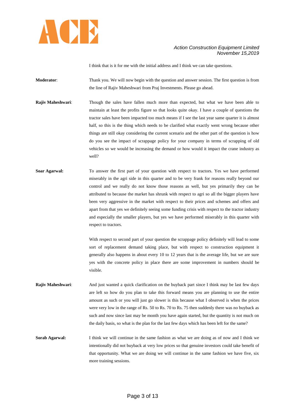

I think that is it for me with the initial address and I think we can take questions.

**Moderator:** Thank you. We will now begin with the question and answer session. The first question is from the line of Rajiv Maheshwari from Praj Investments. Please go ahead.

- **Rajiv Maheshwari:** Though the sales have fallen much more than expected, but what we have been able to maintain at least the profits figure so that looks quite okay. I have a couple of questions the tractor sales have been impacted too much means if I see the last year same quarter it is almost half, so this is the thing which needs to be clarified what exactly went wrong because other things are still okay considering the current scenario and the other part of the question is how do you see the impact of scrappage policy for your company in terms of scrapping of old vehicles so we would be increasing the demand or how would it impact the crane industry as well?
- **Soar Agarwal:** To answer the first part of your question with respect to tractors. Yes we have performed miserably in the agri side in this quarter and to be very frank for reasons really beyond our control and we really do not know those reasons as well, but yes primarily they can be attributed to because the market has shrunk with respect to agri so all the bigger players have been very aggressive in the market with respect to their prices and schemes and offers and apart from that yes we definitely seeing some funding crisis with respect to the tractor industry and especially the smaller players, but yes we have performed miserably in this quarter with respect to tractors.

With respect to second part of your question the scrappage policy definitely will lead to some sort of replacement demand taking place, but with respect to construction equipment it generally also happens in about every 10 to 12 years that is the average life, but we are sure yes with the concrete policy in place there are some improvement in numbers should be visible.

**Rajiv Maheshwari:** And just wanted a quick clarification on the buyback part since I think may be last few days are left so how do you plan to take this forward means you are planning to use the entire amount as such or you will just go slower is this because what I observed is when the prices were very low in the range of Rs. 50 to Rs. 70 to Rs. 75 then suddenly there was no buyback as such and now since last may be month you have again started, but the quantity is not much on the daily basis, so what is the plan for the last few days which has been left for the same?

**Sorab Agarwal:** I think we will continue in the same fashion as what we are doing as of now and I think we intentionally did not buyback at very low prices so that genuine investors could take benefit of that opportunity. What we are doing we will continue in the same fashion we have five, six more training sessions.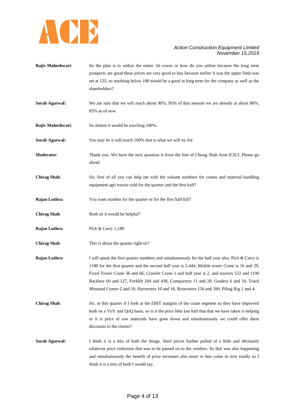

- **Rajiv Maheshwari:** So the plan is to utilize the entire 34 crores or how do you utilize because the long term prospects are good these prices are very good to buy because earlier it was the upper limit was set at 125, so anything below 100 would be a good in long term for the company as well as the shareholders?
- **Sorab Agarwal:** We are sure that we will reach about 90%, 95% of that amount we are already at about 80%, 85% as of now.
- **Rajiv Maheshwari:** So almost it would be touching 100%.
- **Sorab Agarwal:** Yes may be it will touch 100% that is what we will try for.
- **Moderator**: Thank you. We have the next question is from the line of Chirag Shah from ICICI. Please go ahead.
- **Chirag Shah**: Sir, first of all you can help me with the volume numbers for cranes and material handling equipment agri tractor sold for the quarter and the first half?
- **Rajan Luthra:** You want number for the quarter or for the first half full?
- **Chirag Shah**: Both sir it would be helpful?
- **Rajan Luthra:** Pick & Carry 1,180.
- **Chirag Shah:** This is about the quarter right sir?
- **Rajan Luthra:** I will speak the first quarter numbers and simultaneously for the half year also, Pick & Carry is 1180 for the first quarter and the second half year is 2,444, Mobile tower Crane is 16 and 29, Fixed Tower Crane 36 and 66, Crawler Crane 1 and half year is 2, and tractors 522 and 1190 Backhoe 60 and 127, Forklift 204 and 438, Compactors 11 and 20, Graders 6 and 10, Truck Mounted Cranes 2 and 10, Harverters 10 and 16, Rotavators 156 and 399, Piling Rig 1 and 4.
- **Chirag Shah**: Sir, in this quarter if I look at the EBIT margins of the crane segment so they have improved both on a YoY and QoQ basis, so is it the price hike last half that that we have taken is helping or it is price of raw materials have gone down and simultaneously we could offer them discounts to the clients?
- **Sorab Agarwal:** I think it is a mix of both the things. Steel prices further pulled of a little and obviously whatever price reduction that was to be passed on to the vendors. So that was also happening and simultaneously the benefit of price increases also more or less come in now totally so I think it is a mix of both I would say.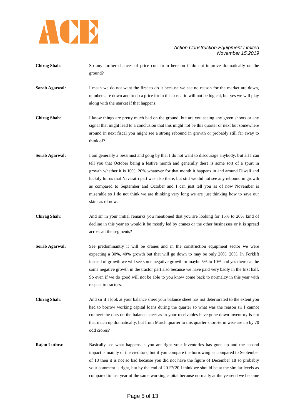

- **Chirag Shah**: So any further chances of price cuts from here on if do not improve dramatically on the ground?
- **Sorab Agarwal:** I mean we do not want the first to do it because we see no reason for the market are down, numbers are down and to do a price for in this scenario will not be logical, but yes we will play along with the market if that happens.
- **Chirag Shah**: I know things are pretty much bad on the ground, but are you seeing any green shoots or any signal that might lead to a conclusion that this might not be this quarter or next but somewhere around in next fiscal you might see a strong rebound in growth or probably still far away to think of?
- **Sorab Agarwal:** I am generally a pessimist and gong by that I do not want to discourage anybody, but all I can tell you that October being a festive month and generally there is some sort of a spurt in growth whether it is 10%, 20% whatever for that month it happens in and around Diwali and luckily for us that Navaratri part was also there, but still we did not see any rebound in growth as compared to September and October and I can just tell you as of now November is miserable so I do not think we are thinking very long we are just thinking how to save our skins as of now.
- **Chirag Shah**: And sir in your initial remarks you mentioned that you are looking for 15% to 20% kind of decline in this year so would it be mostly led by cranes or the other businesses or it is spread across all the segments?
- Sorab Agarwal: See predominantly it will be cranes and in the construction equipment sector we were expecting a 30%, 40% growth but that will go down to may be only 20%, 20%. In Forklift instead of growth we will see some negative growth or maybe 5% to 10% and yes there can be some negative growth in the tractor part also because we have paid very badly in the first half. So even if we do good will not be able to you know come back to normalcy in this year with respect to tractors.
- **Chirag Shah**: And sir if I look at your balance sheet your balance sheet has not deteriorated to the extent you had to borrow working capital loans during the quarter so what was the reason sir I cannot connect the dots on the balance sheet as in your receivables have gone down inventory is not that much up dramatically, but from March quarter to this quarter short-term wise are up by 70 odd crores?
- **Rajan Luthra:** Basically see what happens is you are right your inventories has gone up and the second impact is mainly of the creditors, but if you compare the borrowing as compared to September of 18 then it is not so bad because you did not have the figure of December 18 so probably your comment is right, but by the end of 20 FY20 I think we should be at the similar levels as compared to last year of the same working capital because normally at the yearend we become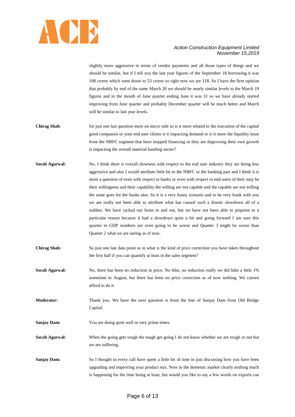

slightly more aggressive in terms of vendor payments and all those types of things and we should be similar, but if I tell you the last year figures of the September 18 borrowing it was 108 crores which went down to 53 crores so right now we are 118. So I have the firm opinion that probably by end of the same March 20 we should be nearly similar levels to the March 19 figures and in the month of June quarter ending June it was 31 so we have already started improving from June quarter and probably December quarter will be much better and March will be similar to last year levels.

- **Chirag Shah**: Sir just one last question more on micro side so is it more related to the execution of the capital good companies or your end user clients is it impacting demand or is it more the liquidity issue from the NBFC segment that have stopped financing or they are degrowing their own growth is impacting the overall material handing sector?
- **Sorab Agarwal:** No, I think there is overall slowness with respect to the end user industry they are being less aggressive and also I would attribute little bit to the NBFC or the banking part and I think it is more a question of even with respect to banks or even with respect to end users of their may be their willingness and their capability the willing are not capable and the capable are not willing the same goes for the banks also. So it is a very funny scenario and to be very frank with you we are really not been able to attribute what has caused such a drastic slowdown all of a sudden. We have racked our brain in and out, but we have not been able to pinpoint to a particular reason because it had a slowdown quite a bit and going forward I am sure this quarter to GDP numbers are even going to be worse and Quarter 3 might be worse than Quarter 2 what we are seeing as of now.
- **Chirag Shah:** So just one last data point as in what is the kind of price correction you have taken throughout the first half if you can quantify at least in the sales segment?
- **Sorab Agarwal:** No, there has been no reduction in price. No hike, no reduction really we did hike a little 1% sometime in August, but there has been no price correction as of now nothing. We cannot afford to do it.
- **Moderator:** Thank you. We have the next question is from the line of Sanjay Dam from Old Bridge Capital.
- **Sanjay Dam:** You are doing quite well in very prime times.
- **Sorab Agarwal:** When the going gets tough the tough get going I do not know whether we are tough or not but we are suffering.
- **Sanjay Dam:** So I thought in every call have spent a little bit of time in just discussing how you have been upgrading and improving your product mix. Now in the domestic market clearly nothing much is happening for the time being at least, but would you like to say a few words on exports can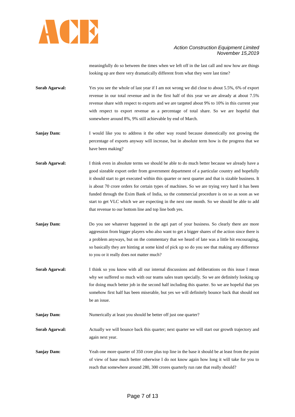

meaningfully do so between the times when we left off in the last call and now how are things looking up are there very dramatically different from what they were last time?

**Sorab Agarwal:** Yes you see the whole of last year if I am not wrong we did close to about 5.5%, 6% of export revenue in our total revenue and in the first half of this year we are already at about 7.5% revenue share with respect to exports and we are targeted about 9% to 10% in this current year with respect to export revenue as a percentage of total share. So we are hopeful that somewhere around 8%, 9% still achievable by end of March.

**Sanjay Dam:** I would like you to address it the other way round because domestically not growing the percentage of exports anyway will increase, but in absolute term how is the progress that we have been making?

**Sorab Agarwal:** I think even in absolute terms we should be able to do much better because we already have a good sizeable export order from government department of a particular country and hopefully it should start to get executed within this quarter or next quarter and that is sizable business. It is about 70 crore orders for certain types of machines. So we are trying very hard it has been funded through the Exim Bank of India, so the commercial procedure is on so as soon as we start to get VLC which we are expecting in the next one month. So we should be able to add that revenue to our bottom line and top line both yes.

**Sanjay Dam:** Do you see whatever happened in the agri part of your business. So clearly there are more aggression from bigger players who also want to get a bigger shares of the action since there is a problem anyways, but on the commentary that we heard of late was a little bit encouraging, so basically they are hinting at some kind of pick up so do you see that making any difference to you or it really does not matter much?

**Sorab Agarwal:** I think so you know with all our internal discussions and deliberations on this issue I mean why we suffered so much with our teams sales team specially. So we are definitely looking up for doing much better job in the second half including this quarter. So we are hopeful that yes somehow first half has been miserable, but yes we will definitely bounce back that should not be an issue.

**Sanjay Dam:** Numerically at least you should be better off just one quarter?

**Sorab Agarwal:** Actually we will bounce back this quarter; next quarter we will start our growth trajectory and again next year.

**Sanjay Dam:** Yeah one more quarter of 350 crore plus top line in the base it should be at least from the point of view of base much better otherwise I do not know again how long it will take for you to reach that somewhere around 280, 300 crores quarterly run rate that really should?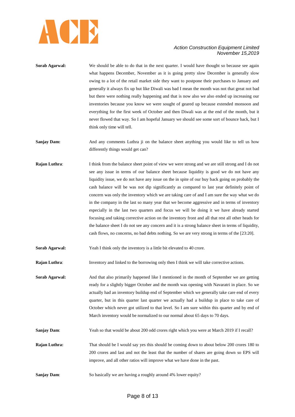

- **Sorab Agarwal:** We should be able to do that in the next quarter. I would have thought so because see again what happens December, November as it is going pretty slow December is generally slow owing to a lot of the retail market side they want to postpone their purchases to January and generally it always fix up but like Diwali was bad I mean the month was not that great not bad but there were nothing really happening and that is now also we also ended up increasing our inventories because you know we were sought of geared up because extended monsoon and everything for the first week of October and then Diwali was at the end of the month, but it never flowed that way. So I am hopeful January we should see some sort of bounce back, but I think only time will tell.
- **Sanjay Dam:** And any comments Luthra ji on the balance sheet anything you would like to tell us how differently things would get can?
- **Rajan Luthra:** I think from the balance sheet point of view we were strong and we are still strong and I do not see any issue in terms of our balance sheet because liquidity is good we do not have any liquidity issue, we do not have any issue on the in spite of our buy back going on probably the cash balance will be was not dip significantly as compared to last year definitely point of concern was only the inventory which we are taking care of and I am sure the way what we do in the company in the last so many year that we become aggressive and in terms of inventory especially in the last two quarters and focus we will be doing it we have already started focusing and taking corrective action on the inventory front and all that rest all other heads for the balance sheet I do not see any concern and it is a strong balance sheet in terms of liquidity, cash flows, no concerns, no bad debts nothing. So we are very strong in terms of the [23:20].

**Sorab Agarwal:** Yeah I think only the inventory is a little bit elevated to 40 crore.

**Rajan Luthra:** Inventory and linked to the borrowing only then I think we will take corrective actions.

**Sorab Agarwal:** And that also primarily happened like I mentioned in the month of September we are getting ready for a slightly bigger October and the month was opening with Navaratri in place. So we actually had an inventory buildup end of September which we generally take care end of every quarter, but in this quarter last quarter we actually had a buildup in place to take care of October which never got utilized to that level. So I am sure within this quarter and by end of March inventory would be normalized to our normal about 65 days to 70 days.

**Sanjay Dam:** Yeah so that would be about 200 odd crores right which you were at March 2019 if I recall?

**Rajan Luthra:** That should be I would say yes this should be coming down to about below 200 crores 180 to 200 crores and last and not the least that the number of shares are going down so EPS will improve, and all other ratios will improve what we have done in the past.

**Sanjay Dam:** So basically we are having a roughly around 4% lower equity?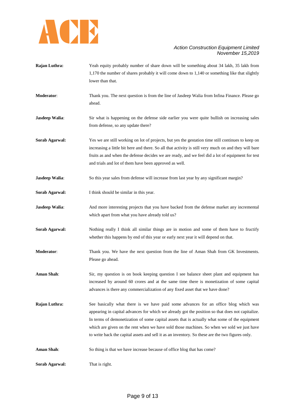

- **Rajan Luthra:** Yeah equity probably number of share down will be something about 34 lakh, 35 lakh from 1,170 the number of shares probably it will come down to 1,140 or something like that slightly lower than that.
- **Moderator**: Thank you. The next question is from the line of Jasdeep Walia from Infina Finance. Please go ahead.
- **Jasdeep Walia:** Sir what is happening on the defense side earlier you were quite bullish on increasing sales from defense, so any update there?
- **Sorab Agarwal:** Yes we are still working on lot of projects, but yes the gestation time still continues to keep on increasing a little bit here and there. So all that activity is still very much on and they will bare fruits as and when the defense decides we are ready, and we feel did a lot of equipment for test and trials and lot of them have been approved as well.
- **Jasdeep Walia:** So this year sales from defense will increase from last year by any significant margin?
- **Sorab Agarwal:** I think should be similar in this year.
- **Jasdeep Walia:** And more interesting projects that you have backed from the defense market any incremental which apart from what you have already told us?
- Sorab Agarwal: Nothing really I think all similar things are in motion and some of them have to fructify whether this happens by end of this year or early next year it will depend on that.
- **Moderator**: Thank you. We have the next question from the line of Aman Shah from GK Investments. Please go ahead.
- **Aman Shah**: Sir, my question is on book keeping question I see balance sheet plant and equipment has increased by around 60 crores and at the same time there is monetization of some capital advances is there any commercialization of any fixed asset that we have done?
- **Rajan Luthra:** See basically what there is we have paid some advances for an office blog which was appearing in capital advances for which we already got the position so that does not capitalize. In terms of demonetization of some capital assets that is actually what some of the equipment which are given on the rent when we have sold those machines. So when we sold we just have to write back the capital assets and sell it as an inventory. So these are the two figures only.
- Aman Shah: So thing is that we have increase because of office blog that has come?

**Sorab Agarwal:** That is right.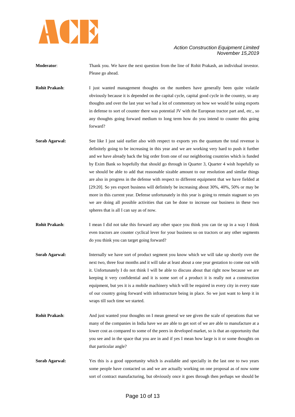

**Moderator**: Thank you. We have the next question from the line of Rohit Prakash, an individual investor. Please go ahead.

**Rohit Prakash:** I just wanted management thoughts on the numbers have generally been quite volatile obviously because it is depended on the capital cycle, capital good cycle in the country, so any thoughts and over the last year we had a lot of commentary on how we would be using exports in defense to sort of counter there was potential JV with the European tractor part and, etc., so any thoughts going forward medium to long term how do you intend to counter this going forward?

**Sorab Agarwal:** See like I just said earlier also with respect to exports yes the quantum the total revenue is definitely going to be increasing in this year and we are working very hard to push it further and we have already back the big order from one of our neighboring countries which is funded by Exim Bank so hopefully that should go through in Quarter 3, Quarter 4 wish hopefully so we should be able to add that reasonable sizable amount to our resolution and similar things are also in progress in the defense with respect to different equipment that we have fielded at [29:20]. So yes export business will definitely be increasing about 30%, 40%, 50% or may be more in this current year. Defense unfortunately in this year is going to remain stagnant so yes we are doing all possible activities that can be done to increase our business in these two spheres that is all I can say as of now.

**Rohit Prakash**: I mean I did not take this forward any other space you think you can tie up in a way I think even tractors are counter cyclical lever for your business so on tractors or any other segments do you think you can target going forward?

- **Sorab Agarwal:** Internally we have sort of product segment you know which we will take up shortly over the next two, three four months and it will take at least about a one year gestation to come out with it. Unfortunately I do not think I will be able to discuss about that right now because we are keeping it very confidential and it is some sort of a product it is really not a construction equipment, but yes it is a mobile machinery which will be required in every city in every state of our country going forward with infrastructure being in place. So we just want to keep it in wraps till such time we started.
- **Rohit Prakash:** And just wanted your thoughts on I mean general we see given the scale of operations that we many of the companies in India have we are able to get sort of we are able to manufacture at a lower cost as compared to some of the peers in developed market, so is that an opportunity that you see and in the space that you are in and if yes I mean how large is it or some thoughts on that particular angle?
- **Sorab Agarwal:** Yes this is a good opportunity which is available and specially in the last one to two years some people have contacted us and we are actually working on one proposal as of now some sort of contract manufacturing, but obviously once it goes through then perhaps we should be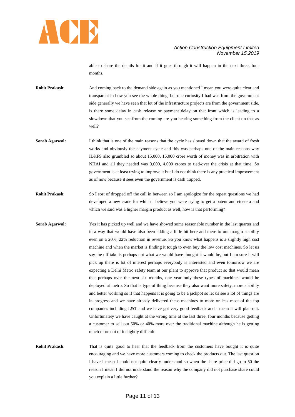

able to share the details for it and if it goes through it will happen in the next three, four months.

- **Rohit Prakash:** And coming back to the demand side again as you mentioned I mean you were quite clear and transparent in how you see the whole thing, but one curiosity I had was from the government side generally we have seen that lot of the infrastructure projects are from the government side, is there some delay in cash release or payment delay on that front which is leading to a slowdown that you see from the coming are you hearing something from the client on that as well?
- **Sorab Agarwal:** I think that is one of the main reasons that the cycle has slowed down that the award of fresh works and obviously the payment cycle and this was perhaps one of the main reasons why IL&FS also grumbled so about 15,000, 16,000 crore worth of money was in arbitration with NHAI and all they needed was 3,000, 4,000 crores to tied-over the crisis at that time. So government is at least trying to improve it but I do not think there is any practical improvement as of now because it sees even the government is cash trapped.
- **Rohit Prakash:** So I sort of dropped off the call in between so I am apologize for the repeat questions we had developed a new crane for which I believe you were trying to get a patent and etcetera and which we said was a higher margin product as well, how is that performing?
- **Sorab Agarwal:** Yes it has picked up well and we have showed some reasonable number in the last quarter and in a way that would have also been adding a little bit here and there to our margin stability even on a 20%, 22% reduction in revenue. So you know what happens is a slightly high cost machine and when the market is finding it tough to even buy the low cost machines. So let us say the off take is perhaps not what we would have thought it would be, but I am sure it will pick up there is lot of interest perhaps everybody is interested and even tomorrow we are expecting a Delhi Metro safety team at our plant to approve that product so that would mean that perhaps over the next six months, one year only these types of machines would be deployed at metro. So that is type of thing because they also want more safety, more stability and better working so if that happens it is going to be a jackpot so let us see a lot of things are in progress and we have already delivered these machines to more or less most of the top companies including L&T and we have got very good feedback and I mean it will plan out. Unfortunately we have caught at the wrong time at the last three, four months because getting a customer to sell out 50% or 40% more over the traditional machine although he is getting much more out of it slightly difficult.
- **Rohit Prakash:** That is quite good to hear that the feedback from the customers have bought it is quite encouraging and we have more customers coming to check the products out. The last question I have I mean I could not quite clearly understand so when the share price did go to 50 the reason I mean I did not understand the reason why the company did not purchase share could you explain a little further?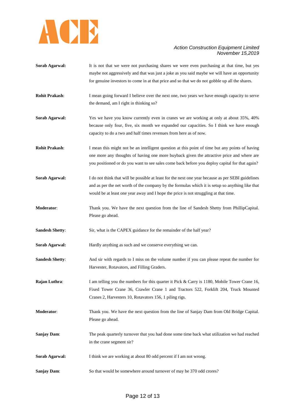

- **Sorab Agarwal:** It is not that we were not purchasing shares we were even purchasing at that time, but yes maybe not aggressively and that was just a joke as you said maybe we will have an opportunity for genuine investors to come in at that price and so that we do not gobble up all the shares.
- **Rohit Prakash:** I mean going forward I believe over the next one, two years we have enough capacity to serve the demand, am I right in thinking so?
- **Sorab Agarwal:** Yes we have you know currently even in cranes we are working at only at about 35%, 40% because only four, five, six month we expanded our capacities. So I think we have enough capacity to do a two and half times revenues from here as of now.
- **Rohit Prakash:** I mean this might not be an intelligent question at this point of time but any points of having one more any thoughts of having one more buyback given the attractive price and where are you positioned or do you want to see sales come back before you deploy capital for that again?
- **Sorab Agarwal:** I do not think that will be possible at least for the next one year because as per SEBI guidelines and as per the net worth of the company by the formulas which it is setup so anything like that would be at least one year away and I hope the price is not struggling at that time.
- **Moderator**: Thank you. We have the next question from the line of Sandesh Shetty from PhillipCapital. Please go ahead.
- Sandesh Shetty: Sir, what is the CAPEX guidance for the remainder of the half year?
- **Sorab Agarwal:** Hardly anything as such and we conserve everything we can.
- **Sandesh Shetty:** And sir with regards to I miss on the volume number if you can please repeat the number for Harvester, Rotavators, and Filling Graders.
- **Rajan Luthra:** I am telling you the numbers for this quarter it Pick & Carry is 1180, Mobile Tower Crane 16, Fixed Tower Crane 36, Crawler Crane 1 and Tractors 522, Forklift 204, Truck Mounted Cranes 2, Harvesters 10, Rotavators 156, 1 piling rigs.
- **Moderator**: Thank you. We have the next question from the line of Sanjay Dam from Old Bridge Capital. Please go ahead.
- **Sanjay Dam:** The peak quarterly turnover that you had done some time back what utilization we had reached in the crane segment sir?
- **Sorab Agarwal:** I think we are working at about 80 odd percent if I am not wrong.
- **Sanjay Dam:** So that would be somewhere around turnover of may be 370 odd crores?